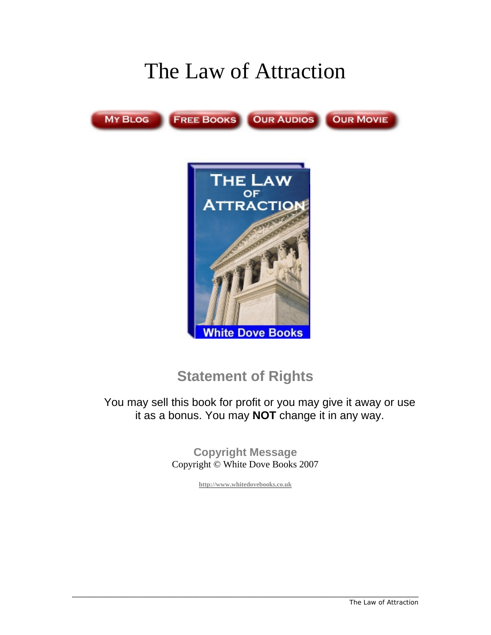# The Law of Attraction



### **Statement of Rights**

You may sell this book for profit or you may give it away or use it as a bonus. You may **NOT** change it in any way.

> **Copyright Message**  Copyright © White Dove Books 2007

> > **[http://www.whitedovebooks.co.uk](http://www.whitedovebooks.co.uk/)**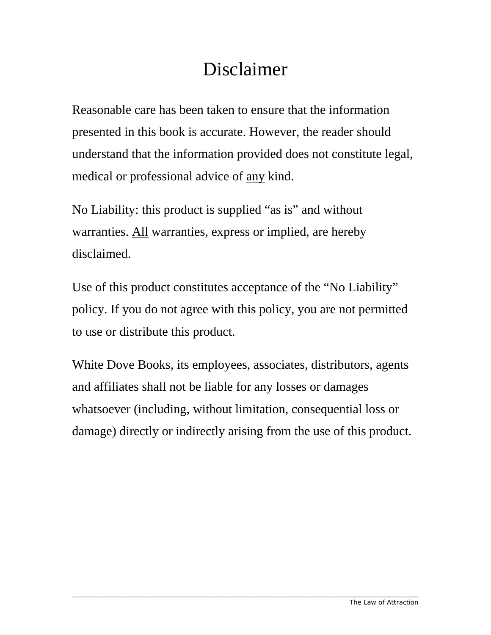## Disclaimer

Reasonable care has been taken to ensure that the information presented in this book is accurate. However, the reader should understand that the information provided does not constitute legal, medical or professional advice of any kind.

No Liability: this product is supplied "as is" and without warranties. All warranties, express or implied, are hereby disclaimed.

Use of this product constitutes acceptance of the "No Liability" policy. If you do not agree with this policy, you are not permitted to use or distribute this product.

White Dove Books, its employees, associates, distributors, agents and affiliates shall not be liable for any losses or damages whatsoever (including, without limitation, consequential loss or damage) directly or indirectly arising from the use of this product.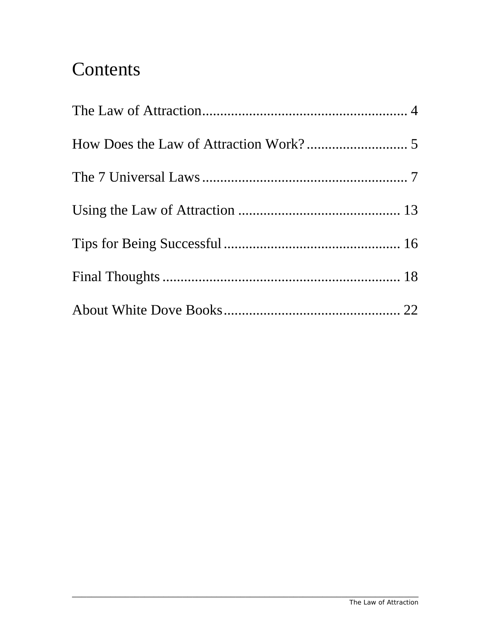### Contents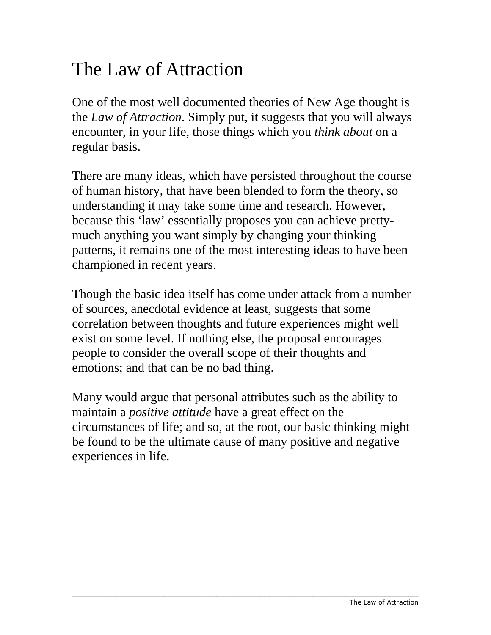### <span id="page-3-0"></span>The Law of Attraction

One of the most well documented theories of New Age thought is the *Law of Attraction*. Simply put, it suggests that you will always encounter, in your life, those things which you *think about* on a regular basis.

There are many ideas, which have persisted throughout the course of human history, that have been blended to form the theory, so understanding it may take some time and research. However, because this 'law' essentially proposes you can achieve prettymuch anything you want simply by changing your thinking patterns, it remains one of the most interesting ideas to have been championed in recent years.

Though the basic idea itself has come under attack from a number of sources, anecdotal evidence at least, suggests that some correlation between thoughts and future experiences might well exist on some level. If nothing else, the proposal encourages people to consider the overall scope of their thoughts and emotions; and that can be no bad thing.

Many would argue that personal attributes such as the ability to maintain a *positive attitude* have a great effect on the circumstances of life; and so, at the root, our basic thinking might be found to be the ultimate cause of many positive and negative experiences in life.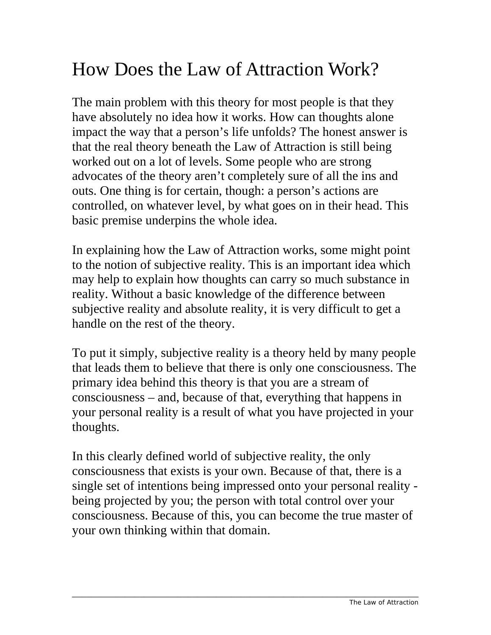### <span id="page-4-0"></span>How Does the Law of Attraction Work?

The main problem with this theory for most people is that they have absolutely no idea how it works. How can thoughts alone impact the way that a person's life unfolds? The honest answer is that the real theory beneath the Law of Attraction is still being worked out on a lot of levels. Some people who are strong advocates of the theory aren't completely sure of all the ins and outs. One thing is for certain, though: a person's actions are controlled, on whatever level, by what goes on in their head. This basic premise underpins the whole idea.

In explaining how the Law of Attraction works, some might point to the notion of subjective reality. This is an important idea which may help to explain how thoughts can carry so much substance in reality. Without a basic knowledge of the difference between subjective reality and absolute reality, it is very difficult to get a handle on the rest of the theory.

To put it simply, subjective reality is a theory held by many people that leads them to believe that there is only one consciousness. The primary idea behind this theory is that you are a stream of consciousness – and, because of that, everything that happens in your personal reality is a result of what you have projected in your thoughts.

In this clearly defined world of subjective reality, the only consciousness that exists is your own. Because of that, there is a single set of intentions being impressed onto your personal reality being projected by you; the person with total control over your consciousness. Because of this, you can become the true master of your own thinking within that domain.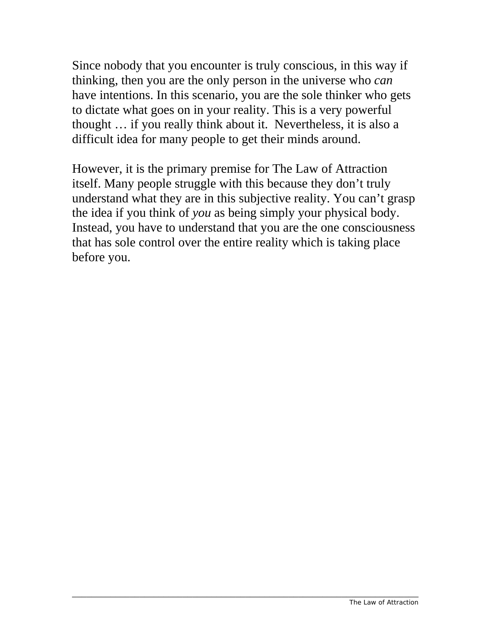Since nobody that you encounter is truly conscious, in this way if thinking, then you are the only person in the universe who *can* have intentions. In this scenario, you are the sole thinker who gets to dictate what goes on in your reality. This is a very powerful thought … if you really think about it. Nevertheless, it is also a difficult idea for many people to get their minds around.

However, it is the primary premise for The Law of Attraction itself. Many people struggle with this because they don't truly understand what they are in this subjective reality. You can't grasp the idea if you think of *you* as being simply your physical body. Instead, you have to understand that you are the one consciousness that has sole control over the entire reality which is taking place before you.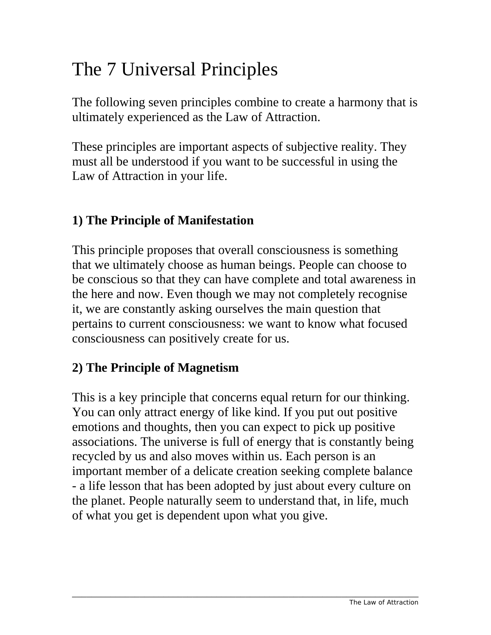## <span id="page-6-0"></span>The 7 Universal Principles

The following seven principles combine to create a harmony that is ultimately experienced as the Law of Attraction.

These principles are important aspects of subjective reality. They must all be understood if you want to be successful in using the Law of Attraction in your life.

#### **1) The Principle of Manifestation**

This principle proposes that overall consciousness is something that we ultimately choose as human beings. People can choose to be conscious so that they can have complete and total awareness in the here and now. Even though we may not completely recognise it, we are constantly asking ourselves the main question that pertains to current consciousness: we want to know what focused consciousness can positively create for us.

#### **2) The Principle of Magnetism**

This is a key principle that concerns equal return for our thinking. You can only attract energy of like kind. If you put out positive emotions and thoughts, then you can expect to pick up positive associations. The universe is full of energy that is constantly being recycled by us and also moves within us. Each person is an important member of a delicate creation seeking complete balance - a life lesson that has been adopted by just about every culture on the planet. People naturally seem to understand that, in life, much of what you get is dependent upon what you give.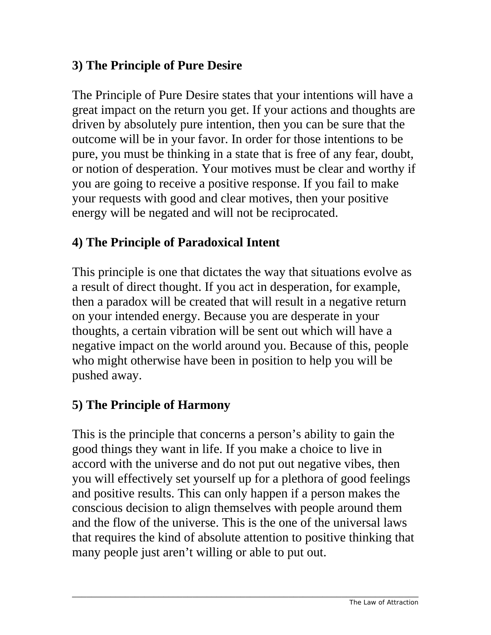#### **3) The Principle of Pure Desire**

The Principle of Pure Desire states that your intentions will have a great impact on the return you get. If your actions and thoughts are driven by absolutely pure intention, then you can be sure that the outcome will be in your favor. In order for those intentions to be pure, you must be thinking in a state that is free of any fear, doubt, or notion of desperation. Your motives must be clear and worthy if you are going to receive a positive response. If you fail to make your requests with good and clear motives, then your positive energy will be negated and will not be reciprocated.

### **4) The Principle of Paradoxical Intent**

This principle is one that dictates the way that situations evolve as a result of direct thought. If you act in desperation, for example, then a paradox will be created that will result in a negative return on your intended energy. Because you are desperate in your thoughts, a certain vibration will be sent out which will have a negative impact on the world around you. Because of this, people who might otherwise have been in position to help you will be pushed away.

### **5) The Principle of Harmony**

This is the principle that concerns a person's ability to gain the good things they want in life. If you make a choice to live in accord with the universe and do not put out negative vibes, then you will effectively set yourself up for a plethora of good feelings and positive results. This can only happen if a person makes the conscious decision to align themselves with people around them and the flow of the universe. This is the one of the universal laws that requires the kind of absolute attention to positive thinking that many people just aren't willing or able to put out.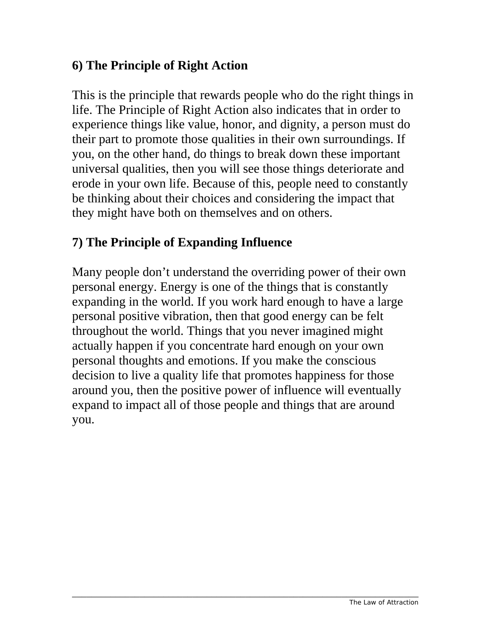#### **6) The Principle of Right Action**

This is the principle that rewards people who do the right things in life. The Principle of Right Action also indicates that in order to experience things like value, honor, and dignity, a person must do their part to promote those qualities in their own surroundings. If you, on the other hand, do things to break down these important universal qualities, then you will see those things deteriorate and erode in your own life. Because of this, people need to constantly be thinking about their choices and considering the impact that they might have both on themselves and on others.

### **7) The Principle of Expanding Influence**

Many people don't understand the overriding power of their own personal energy. Energy is one of the things that is constantly expanding in the world. If you work hard enough to have a large personal positive vibration, then that good energy can be felt throughout the world. Things that you never imagined might actually happen if you concentrate hard enough on your own personal thoughts and emotions. If you make the conscious decision to live a quality life that promotes happiness for those around you, then the positive power of influence will eventually expand to impact all of those people and things that are around you.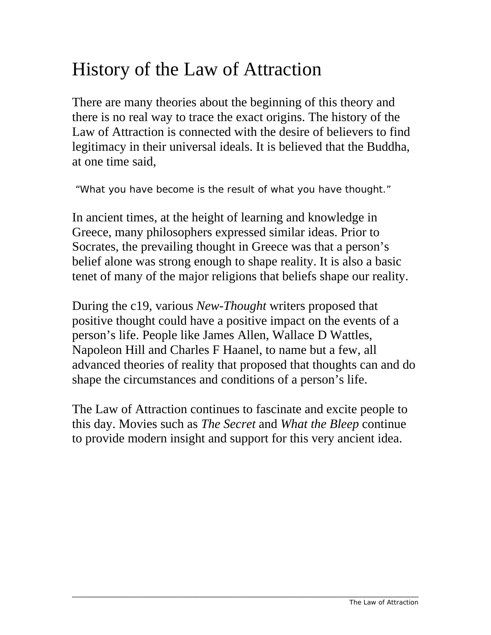### History of the Law of Attraction

There are many theories about the beginning of this theory and there is no real way to trace the exact origins. The history of the Law of Attraction is connected with the desire of believers to find legitimacy in their universal ideals. It is believed that the Buddha, at one time said,

"What you have become is the result of what you have thought."

In ancient times, at the height of learning and knowledge in Greece, many philosophers expressed similar ideas. Prior to Socrates, the prevailing thought in Greece was that a person's belief alone was strong enough to shape reality. It is also a basic tenet of many of the major religions that beliefs shape our reality.

During the c19, various *New-Thought* writers proposed that positive thought could have a positive impact on the events of a person's life. People like James Allen, Wallace D Wattles, Napoleon Hill and Charles F Haanel, to name but a few, all advanced theories of reality that proposed that thoughts can and do shape the circumstances and conditions of a person's life.

The Law of Attraction continues to fascinate and excite people to this day. Movies such as *The Secret* and *What the Bleep* continue to provide modern insight and support for this very ancient idea.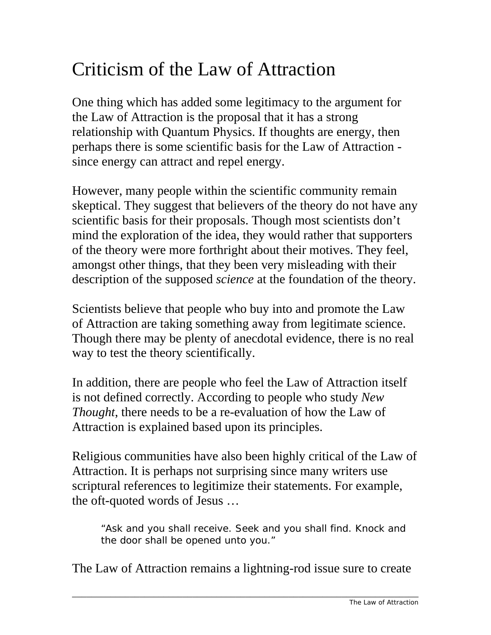## Criticism of the Law of Attraction

One thing which has added some legitimacy to the argument for the Law of Attraction is the proposal that it has a strong relationship with Quantum Physics. If thoughts are energy, then perhaps there is some scientific basis for the Law of Attraction since energy can attract and repel energy.

However, many people within the scientific community remain skeptical. They suggest that believers of the theory do not have any scientific basis for their proposals. Though most scientists don't mind the exploration of the idea, they would rather that supporters of the theory were more forthright about their motives. They feel, amongst other things, that they been very misleading with their description of the supposed *science* at the foundation of the theory.

Scientists believe that people who buy into and promote the Law of Attraction are taking something away from legitimate science. Though there may be plenty of anecdotal evidence, there is no real way to test the theory scientifically.

In addition, there are people who feel the Law of Attraction itself is not defined correctly. According to people who study *New Thought*, there needs to be a re-evaluation of how the Law of Attraction is explained based upon its principles.

Religious communities have also been highly critical of the Law of Attraction. It is perhaps not surprising since many writers use scriptural references to legitimize their statements. For example, the oft-quoted words of Jesus …

"Ask and you shall receive. Seek and you shall find. Knock and the door shall be opened unto you."

The Law of Attraction remains a lightning-rod issue sure to create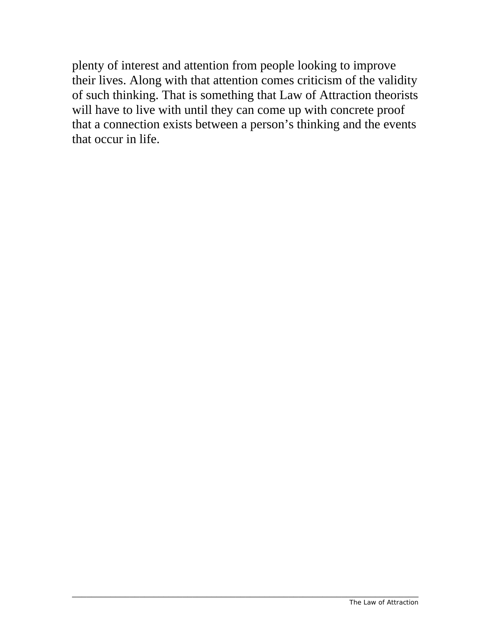plenty of interest and attention from people looking to improve their lives. Along with that attention comes criticism of the validity of such thinking. That is something that Law of Attraction theorists will have to live with until they can come up with concrete proof that a connection exists between a person's thinking and the events that occur in life.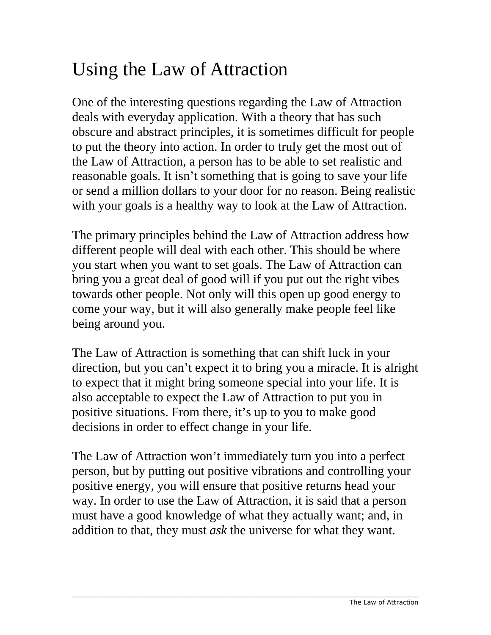### <span id="page-12-0"></span>Using the Law of Attraction

One of the interesting questions regarding the Law of Attraction deals with everyday application. With a theory that has such obscure and abstract principles, it is sometimes difficult for people to put the theory into action. In order to truly get the most out of the Law of Attraction, a person has to be able to set realistic and reasonable goals. It isn't something that is going to save your life or send a million dollars to your door for no reason. Being realistic with your goals is a healthy way to look at the Law of Attraction.

The primary principles behind the Law of Attraction address how different people will deal with each other. This should be where you start when you want to set goals. The Law of Attraction can bring you a great deal of good will if you put out the right vibes towards other people. Not only will this open up good energy to come your way, but it will also generally make people feel like being around you.

The Law of Attraction is something that can shift luck in your direction, but you can't expect it to bring you a miracle. It is alright to expect that it might bring someone special into your life. It is also acceptable to expect the Law of Attraction to put you in positive situations. From there, it's up to you to make good decisions in order to effect change in your life.

The Law of Attraction won't immediately turn you into a perfect person, but by putting out positive vibrations and controlling your positive energy, you will ensure that positive returns head your way. In order to use the Law of Attraction, it is said that a person must have a good knowledge of what they actually want; and, in addition to that, they must *ask* the universe for what they want.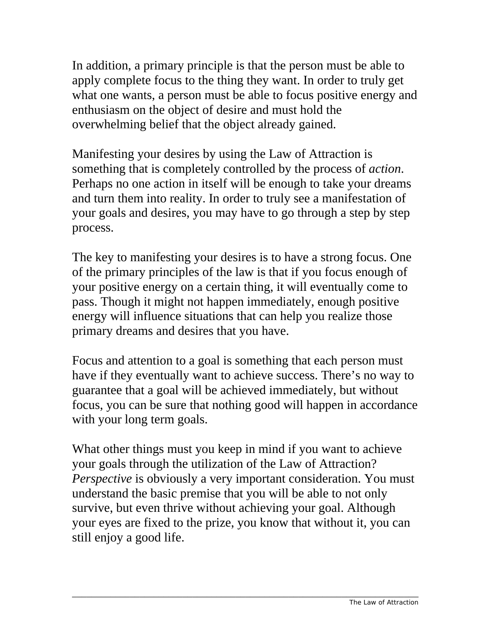In addition, a primary principle is that the person must be able to apply complete focus to the thing they want. In order to truly get what one wants, a person must be able to focus positive energy and enthusiasm on the object of desire and must hold the overwhelming belief that the object already gained.

Manifesting your desires by using the Law of Attraction is something that is completely controlled by the process of *action*. Perhaps no one action in itself will be enough to take your dreams and turn them into reality. In order to truly see a manifestation of your goals and desires, you may have to go through a step by step process.

The key to manifesting your desires is to have a strong focus. One of the primary principles of the law is that if you focus enough of your positive energy on a certain thing, it will eventually come to pass. Though it might not happen immediately, enough positive energy will influence situations that can help you realize those primary dreams and desires that you have.

Focus and attention to a goal is something that each person must have if they eventually want to achieve success. There's no way to guarantee that a goal will be achieved immediately, but without focus, you can be sure that nothing good will happen in accordance with your long term goals.

What other things must you keep in mind if you want to achieve your goals through the utilization of the Law of Attraction? *Perspective* is obviously a very important consideration. You must understand the basic premise that you will be able to not only survive, but even thrive without achieving your goal. Although your eyes are fixed to the prize, you know that without it, you can still enjoy a good life.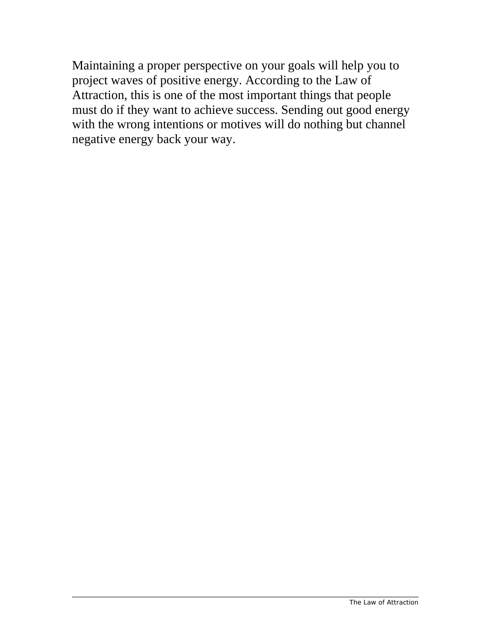Maintaining a proper perspective on your goals will help you to project waves of positive energy. According to the Law of Attraction, this is one of the most important things that people must do if they want to achieve success. Sending out good energy with the wrong intentions or motives will do nothing but channel negative energy back your way.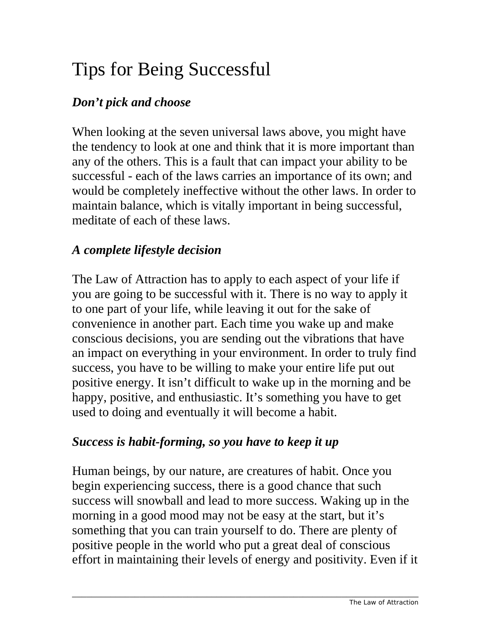## <span id="page-15-0"></span>Tips for Being Successful

### *Don't pick and choose*

When looking at the seven universal laws above, you might have the tendency to look at one and think that it is more important than any of the others. This is a fault that can impact your ability to be successful - each of the laws carries an importance of its own; and would be completely ineffective without the other laws. In order to maintain balance, which is vitally important in being successful, meditate of each of these laws.

#### *A complete lifestyle decision*

The Law of Attraction has to apply to each aspect of your life if you are going to be successful with it. There is no way to apply it to one part of your life, while leaving it out for the sake of convenience in another part. Each time you wake up and make conscious decisions, you are sending out the vibrations that have an impact on everything in your environment. In order to truly find success, you have to be willing to make your entire life put out positive energy. It isn't difficult to wake up in the morning and be happy, positive, and enthusiastic. It's something you have to get used to doing and eventually it will become a habit.

#### *Success is habit-forming, so you have to keep it up*

Human beings, by our nature, are creatures of habit. Once you begin experiencing success, there is a good chance that such success will snowball and lead to more success. Waking up in the morning in a good mood may not be easy at the start, but it's something that you can train yourself to do. There are plenty of positive people in the world who put a great deal of conscious effort in maintaining their levels of energy and positivity. Even if it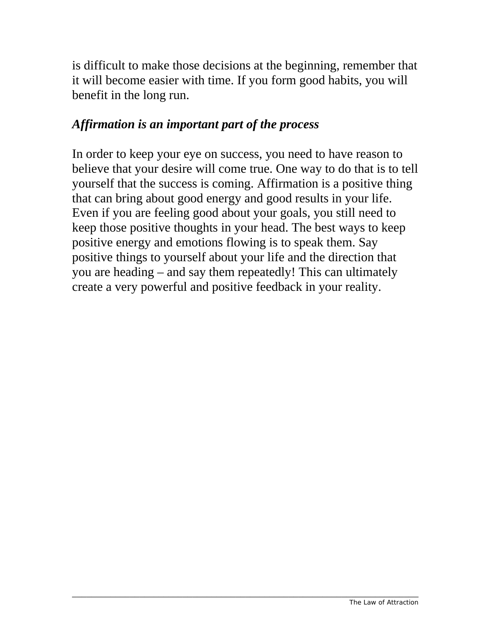is difficult to make those decisions at the beginning, remember that it will become easier with time. If you form good habits, you will benefit in the long run.

#### *Affirmation is an important part of the process*

In order to keep your eye on success, you need to have reason to believe that your desire will come true. One way to do that is to tell yourself that the success is coming. Affirmation is a positive thing that can bring about good energy and good results in your life. Even if you are feeling good about your goals, you still need to keep those positive thoughts in your head. The best ways to keep positive energy and emotions flowing is to speak them. Say positive things to yourself about your life and the direction that you are heading – and say them repeatedly! This can ultimately create a very powerful and positive feedback in your reality.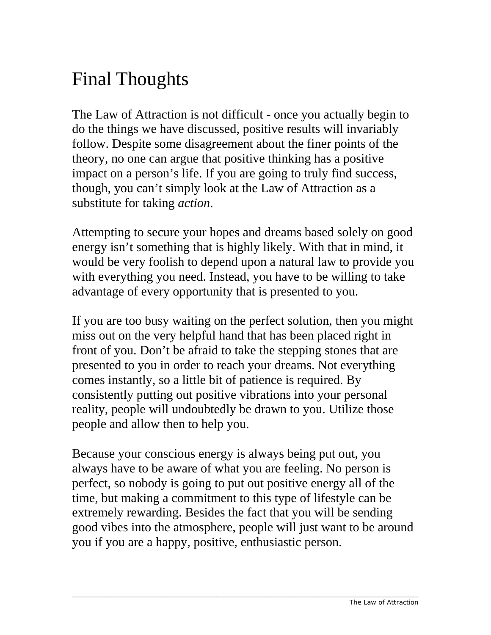### <span id="page-17-0"></span>Final Thoughts

The Law of Attraction is not difficult - once you actually begin to do the things we have discussed, positive results will invariably follow. Despite some disagreement about the finer points of the theory, no one can argue that positive thinking has a positive impact on a person's life. If you are going to truly find success, though, you can't simply look at the Law of Attraction as a substitute for taking *action*.

Attempting to secure your hopes and dreams based solely on good energy isn't something that is highly likely. With that in mind, it would be very foolish to depend upon a natural law to provide you with everything you need. Instead, you have to be willing to take advantage of every opportunity that is presented to you.

If you are too busy waiting on the perfect solution, then you might miss out on the very helpful hand that has been placed right in front of you. Don't be afraid to take the stepping stones that are presented to you in order to reach your dreams. Not everything comes instantly, so a little bit of patience is required. By consistently putting out positive vibrations into your personal reality, people will undoubtedly be drawn to you. Utilize those people and allow then to help you.

Because your conscious energy is always being put out, you always have to be aware of what you are feeling. No person is perfect, so nobody is going to put out positive energy all of the time, but making a commitment to this type of lifestyle can be extremely rewarding. Besides the fact that you will be sending good vibes into the atmosphere, people will just want to be around you if you are a happy, positive, enthusiastic person.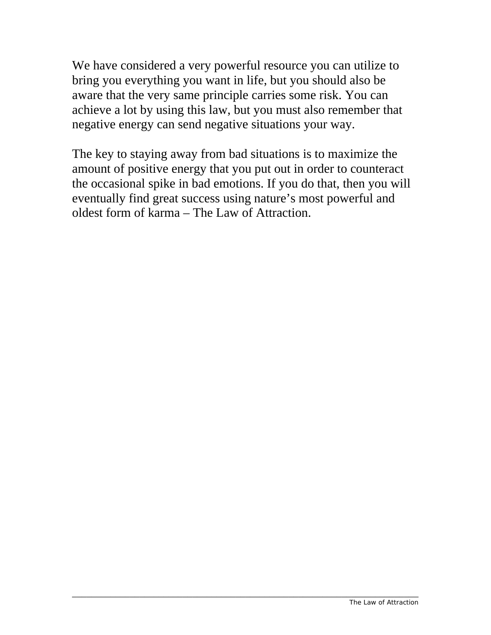We have considered a very powerful resource you can utilize to bring you everything you want in life, but you should also be aware that the very same principle carries some risk. You can achieve a lot by using this law, but you must also remember that negative energy can send negative situations your way.

The key to staying away from bad situations is to maximize the amount of positive energy that you put out in order to counteract the occasional spike in bad emotions. If you do that, then you will eventually find great success using nature's most powerful and oldest form of karma – The Law of Attraction.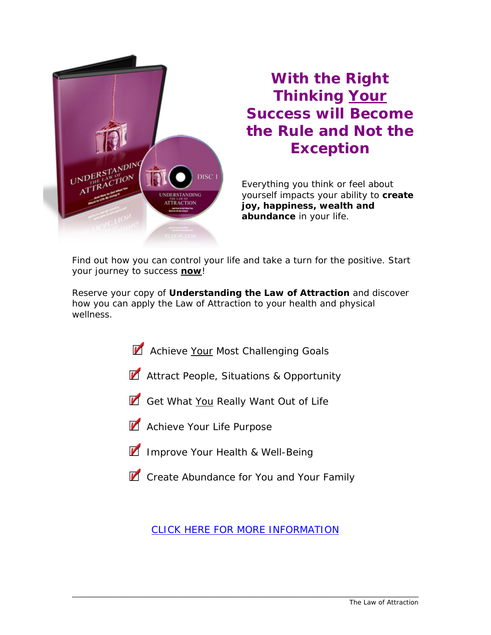

### **With the Right Thinking Your Success will Become the Rule and Not the Exception**

Everything you think or feel about yourself impacts your ability to **create joy, happiness, wealth and abundance** in your life.

Find out how you can control your life and take a turn for the positive. Start your journey to success **now**!

Reserve your copy of *Understanding the Law of Attraction* and discover how you can apply the Law of Attraction to your health and physical wellness.

- Achieve Your Most Challenging Goals
- **Z** Attract People, Situations & Opportunity
- Get What You Really Want Out of Life
- Achieve Your Life Purpose
- **IM** Improve Your Health & Well-Being
- **Z** Create Abundance for You and Your Family

[CLICK HERE FOR MORE INFORMATION](http://www.whitedovebooks.co.uk/audio/attraction/index.html)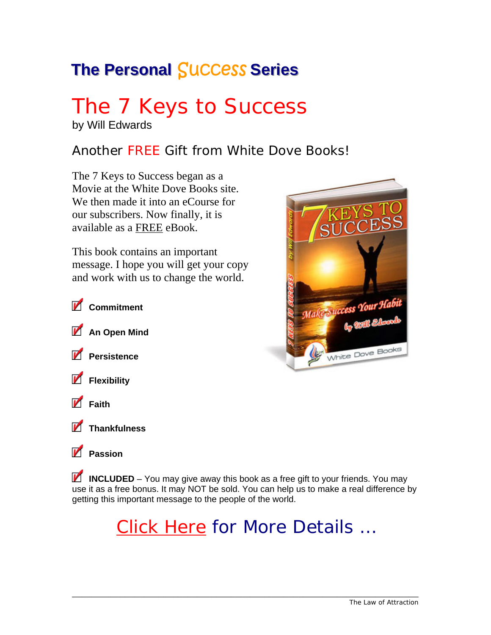### **The Personal Success Series**

# The 7 Keys to Success

by Will Edwards

#### Another FREE Gift from White Dove Books!

The 7 Keys to Success began as a Movie at the White Dove Books site. We then made it into an eCourse for our subscribers. Now finally, it is available as a FREE eBook.

This book contains an important message. I hope you will get your copy and work with us to change the world.





**Passion** 

**INCLUDED** – You may give away this book as a free gift to your friends. You may use it as a free bonus. It may NOT be sold. You can help us to make a real difference by getting this important message to the people of the world.

### [Click Here](http://www.whitedovebooks.co.uk/newsletter/7-keys-download-page.htm) for More Details …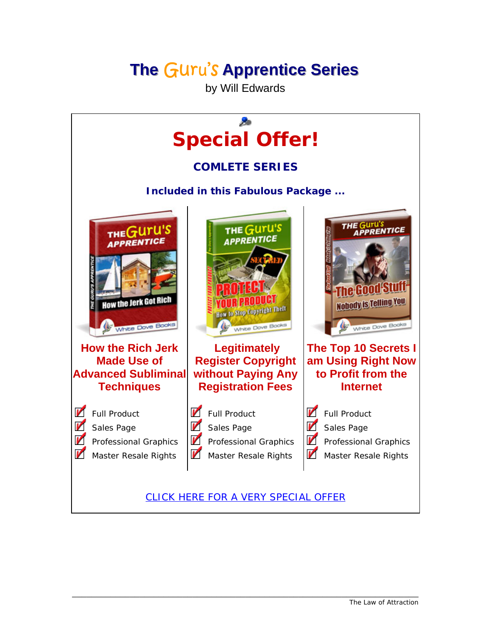### **The Guru's Apprentice Series**

by Will Edwards